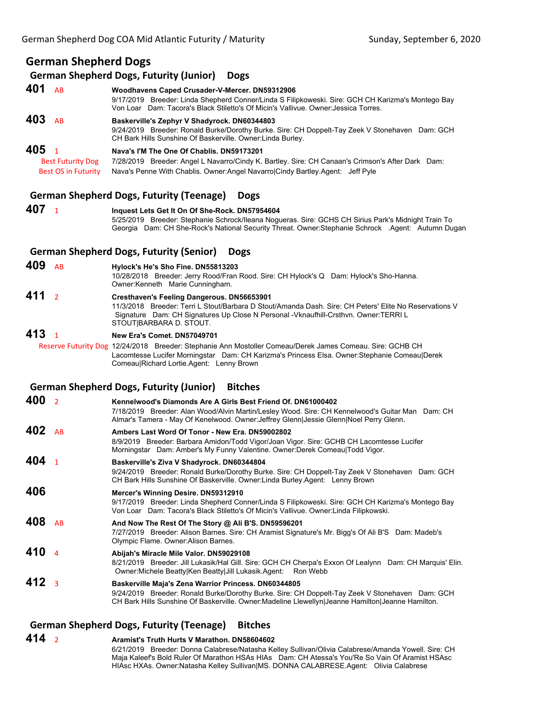# **German Shepherd Dogs**

### **German Shepherd Dogs, Futurity (Junior) Dogs**

**401** AB **Woodhavens Caped Crusader-V-Mercer. DN59312906** 9/17/2019 Breeder: Linda Shepherd Conner/Linda S Filipkoweski. Sire: GCH CH Karizma's Montego Bay Von Loar Dam: Tacora's Black Stiletto's Of Micin's Vallivue. Owner:Jessica Torres. **403** AB **Baskerville's Zephyr V Shadyrock. DN60344803** 9/24/2019 Breeder: Ronald Burke/Dorothy Burke. Sire: CH Doppelt-Tay Zeek V Stonehaven Dam: GCH CH Bark Hills Sunshine Of Baskerville. Owner:Linda Burley. **405** <sup>1</sup> **Nava's I'M The One Of Chablis. DN59173201** Best Futurity Dog 7/28/2019 Breeder: Angel L Navarro/Cindy K. Bartley. Sire: CH Canaan's Crimson's After Dark Dam:<br>Best OS in Futurity Nava's Penne With Chablis. Owner: Angel Navarro/Cindy Bartley. Agent: Jeff Pyle Nava's Penne With Chablis. Owner:Angel Navarro|Cindy Bartley.Agent: Jeff Pyle

### **German Shepherd Dogs, Futurity (Teenage) Dogs**

**407** <sup>1</sup> **Inquest Lets Get It On Of She-Rock. DN57954604** 5/25/2019 Breeder: Stephanie Schrock/Ileana Nogueras. Sire: GCHS CH Sirius Park's Midnight Train To Georgia Dam: CH She-Rock's National Security Threat. Owner:Stephanie Schrock .Agent: Autumn Dugan

### **German Shepherd Dogs, Futurity (Senior) Dogs**

**409** AB **Hylock's He's Sho Fine. DN55813203**

10/28/2018 Breeder: Jerry Rood/Fran Rood. Sire: CH Hylock's Q Dam: Hylock's Sho-Hanna. Owner:Kenneth Marie Cunningham.

**411** <sup>2</sup> **Cresthaven's Feeling Dangerous. DN56653901** 11/3/2018 Breeder: Terri L Stout/Barbara D Stout/Amanda Dash. Sire: CH Peters' Elite No Reservations V Signature Dam: CH Signatures Up Close N Personal -Vknaufhill-Crsthvn. Owner:TERRI L STOUT|BARBARA D. STOUT.

### **413** <sup>1</sup> **New Era's Comet. DN57049701**

 Reserve Futurity Dog 12/24/2018 Breeder: Stephanie Ann Mostoller Comeau/Derek James Comeau. Sire: GCHB CH Lacomtesse Lucifer Morningstar Dam: CH Karizma's Princess Elsa. Owner:Stephanie Comeau|Derek Comeau|Richard Lortie.Agent: Lenny Brown

#### **German Shepherd Dogs, Futurity (Junior) Bitches**

| 400 | $\overline{2}$ | Kennelwood's Diamonds Are A Girls Best Friend Of, DN61000402<br>7/18/2019 Breeder: Alan Wood/Alvin Martin/Lesley Wood. Sire: CH Kennelwood's Guitar Man Dam: CH<br>Almar's Tamera - May Of Kenelwood. Owner: Jeffrey Glenn Jessie Glenn Noel Perry Glenn.   |
|-----|----------------|-------------------------------------------------------------------------------------------------------------------------------------------------------------------------------------------------------------------------------------------------------------|
| 402 | <b>AB</b>      | Ambers Last Word Of Tonor - New Era. DN59002802<br>8/9/2019 Breeder: Barbara Amidon/Todd Vigor/Joan Vigor. Sire: GCHB CH Lacomtesse Lucifer<br>Morningstar Dam: Amber's My Funny Valentine. Owner: Derek Comeau Todd Vigor.                                 |
| 404 |                | Baskerville's Ziva V Shadyrock. DN60344804<br>9/24/2019 Breeder: Ronald Burke/Dorothy Burke. Sire: CH Doppelt-Tay Zeek V Stonehaven Dam: GCH<br>CH Bark Hills Sunshine Of Baskerville. Owner: Linda Burley. Agent: Lenny Brown                              |
| 406 |                | Mercer's Winning Desire. DN59312910<br>9/17/2019 Breeder: Linda Shepherd Conner/Linda S Filipkoweski. Sire: GCH CH Karizma's Montego Bay<br>Von Loar Dam: Tacora's Black Stiletto's Of Micin's Vallivue. Owner: Linda Filipkowski.                          |
| 408 | <b>AB</b>      | And Now The Rest Of The Story @ Ali B'S. DN59596201<br>7/27/2019 Breeder: Alison Barnes. Sire: CH Aramist Signature's Mr. Bigg's Of Ali B'S Dam: Madeb's<br>Olympic Flame. Owner: Alison Barnes.                                                            |
| 410 | $\Delta$       | Abijah's Miracle Mile Valor. DN59029108<br>8/21/2019 Breeder: Jill Lukasik/Hal Gill. Sire: GCH CH Cherpa's Exxon Of Lealynn Dam: CH Marquis' Elin.<br>Owner: Michele Beatty Ken Beatty Jill Lukasik. Agent: Ron Webb                                        |
| 412 | $\overline{3}$ | Baskerville Maja's Zena Warrior Princess. DN60344805<br>9/24/2019 Breeder: Ronald Burke/Dorothy Burke. Sire: CH Doppelt-Tay Zeek V Stonehaven Dam: GCH<br>CH Bark Hills Sunshine Of Baskerville. Owner: Madeline Llewellyn Jeanne Hamilton Jeanne Hamilton. |
|     |                |                                                                                                                                                                                                                                                             |

# **German Shepherd Dogs, Futurity (Teenage) Bitches**

### **414** <sup>2</sup> **Aramist's Truth Hurts V Marathon. DN58604602**

6/21/2019 Breeder: Donna Calabrese/Natasha Kelley Sullivan/Olivia Calabrese/Amanda Yowell. Sire: CH Maja Kaleef's Bold Ruler Of Marathon HSAs HIAs Dam: CH Atessa's You'Re So Vain Of Aramist HSAsc HIAsc HXAs. Owner:Natasha Kelley Sullivan|MS. DONNA CALABRESE.Agent: Olivia Calabrese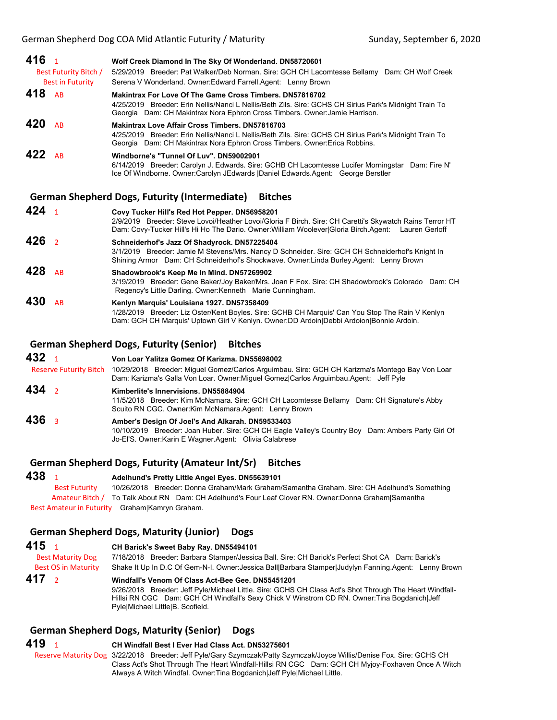| 416 <sub>1</sub><br>Best Futurity Bitch /<br><b>Best in Futurity</b> | Wolf Creek Diamond In The Sky Of Wonderland. DN58720601<br>5/29/2019 Breeder: Pat Walker/Deb Norman. Sire: GCH CH Lacomtesse Bellamy Dam: CH Wolf Creek<br>Serena V Wonderland. Owner: Edward Farrell. Agent: Lenny Brown                                |
|----------------------------------------------------------------------|----------------------------------------------------------------------------------------------------------------------------------------------------------------------------------------------------------------------------------------------------------|
| 418 AB                                                               | <b>Makintrax For Love Of The Game Cross Timbers, DN57816702</b><br>4/25/2019 Breeder: Erin Nellis/Nanci L Nellis/Beth Zils. Sire: GCHS CH Sirius Park's Midnight Train To<br>Georgia Dam: CH Makintrax Nora Ephron Cross Timbers. Owner: Jamie Harrison. |
| 420<br><b>AR</b>                                                     | <b>Makintrax Love Affair Cross Timbers, DN57816703</b><br>4/25/2019 Breeder: Erin Nellis/Nanci L Nellis/Beth Zils. Sire: GCHS CH Sirius Park's Midnight Train To<br>Georgia Dam: CH Makintrax Nora Ephron Cross Timbers. Owner: Erica Robbins.           |
| 422<br><b>AR</b>                                                     | Windborne's "Tunnel Of Luv". DN59002901<br>6/14/2019 Breeder: Carolyn J. Edwards. Sire: GCHB CH Lacomtesse Lucifer Morningstar<br>Dam: Fire N'<br>Ice Of Windborne. Owner: Carolyn JEdwards   Daniel Edwards Agent: George Berstler                      |

#### **German Shepherd Dogs, Futurity (Intermediate) Bitches**

| 424              |           | Covy Tucker Hill's Red Hot Pepper. DN56958201<br>2/9/2019 Breeder: Steve Lovoi/Heather Lovoi/Gloria F Birch. Sire: CH Caretti's Skywatch Rains Terror HT<br>Dam: Covy-Tucker Hill's Hi Ho The Dario. Owner: William Woolever Gloria Birch. Agent: Lauren Gerloff |
|------------------|-----------|------------------------------------------------------------------------------------------------------------------------------------------------------------------------------------------------------------------------------------------------------------------|
| 426 <sub>2</sub> |           | Schneiderhof's Jazz Of Shadyrock. DN57225404<br>3/1/2019 Breeder: Jamie M Stevens/Mrs. Nancy D Schneider. Sire: GCH CH Schneiderhof's Knight In                                                                                                                  |
|                  |           | Shining Armor Dam: CH Schneiderhof's Shockwave. Owner:Linda Burley.Agent: Lenny Brown                                                                                                                                                                            |
| 428              | <b>AR</b> | Shadowbrook's Keep Me In Mind. DN57269902<br>3/19/2019 Breeder: Gene Baker/Joy Baker/Mrs. Joan F Fox. Sire: CH Shadowbrook's Colorado Dam: CH<br>Regency's Little Darling. Owner: Kenneth Marie Cunningham.                                                      |
| 430              | <b>AR</b> | Kenlyn Marquis' Louisiana 1927. DN57358409<br>1/28/2019 Breeder: Liz Oster/Kent Boyles. Sire: GCHB CH Marquis' Can You Stop The Rain V Kenlyn<br>Dam: GCH CH Marquis' Uptown Girl V Kenlyn. Owner:DD Ardoin Debbi Ardoion Bonnie Ardoin.                         |

# **German Shepherd Dogs, Futurity (Senior) Bitches**

**432** <sup>1</sup> **Von Loar Yalitza Gomez Of Karizma. DN55698002** Reserve Futurity Bitch 10/29/2018 Breeder: Miguel Gomez/Carlos Arguimbau. Sire: GCH CH Karizma's Montego Bay Von Loar Dam: Karizma's Galla Von Loar. Owner:Miguel Gomez|Carlos Arguimbau.Agent: Jeff Pyle

- **434** <sup>2</sup> **Kimberlite's Innervisions. DN55884904** 11/5/2018 Breeder: Kim McNamara. Sire: GCH CH Lacomtesse Bellamy Dam: CH Signature's Abby Scuito RN CGC. Owner:Kim McNamara.Agent: Lenny Brown
- **436** <sup>3</sup> **Amber's Design Of Joel's And Alkarah. DN59533403** 10/10/2019 Breeder: Joan Huber. Sire: GCH CH Eagle Valley's Country Boy Dam: Ambers Party Girl Of Jo-El'S. Owner:Karin E Wagner.Agent: Olivia Calabrese

#### **German Shepherd Dogs, Futurity (Amateur Int/Sr) Bitches**

### **438** <sup>1</sup> **Adelhund's Pretty Little Angel Eyes. DN55639101**

Best Futurity 10/26/2018 Breeder: Donna Graham/Mark Graham/Samantha Graham. Sire: CH Adelhund's Something Amateur Bitch / To Talk About RN Dam: CH Adelhund's Four Leaf Clover RN. Owner:Donna Graham|Samantha Best Amateur in Futurity Graham|Kamryn Graham.

# **German Shepherd Dogs, Maturity (Junior) Dogs**

| 415 $1$                    | CH Barick's Sweet Baby Ray. DN55494101                                                                                                                                                                                                                                                           |
|----------------------------|--------------------------------------------------------------------------------------------------------------------------------------------------------------------------------------------------------------------------------------------------------------------------------------------------|
| <b>Best Maturity Dog</b>   | 7/18/2018 Breeder: Barbara Stamper/Jessica Ball. Sire: CH Barick's Perfect Shot CA Dam: Barick's                                                                                                                                                                                                 |
| <b>Best OS in Maturity</b> | Shake It Up In D.C Of Gem-N-I. Owner: Jessica Ball Barbara Stamper Judylyn Fanning.Agent: Lenny Brown                                                                                                                                                                                            |
| 417 <sub>2</sub>           | Windfall's Venom Of Class Act-Bee Gee, DN55451201<br>9/26/2018 Breeder: Jeff Pyle/Michael Little. Sire: GCHS CH Class Act's Shot Through The Heart Windfall-<br>Hillsi RN CGC Dam: GCH CH Windfall's Sexy Chick V Winstrom CD RN. Owner: Tina Bogdanich Jeff<br>Pyle Michael Little B. Scofield. |

# **German Shepherd Dogs, Maturity (Senior) Dogs**

**419** <sup>1</sup> **CH Windfall Best I Ever Had Class Act. DN53275601** Reserve Maturity Dog 3/22/2018 Breeder: Jeff Pyle/Gary Szymczak/Patty Szymczak/Joyce Willis/Denise Fox. Sire: GCHS CH Class Act's Shot Through The Heart Windfall-Hillsi RN CGC Dam: GCH CH Myjoy-Foxhaven Once A Witch Always A Witch Windfal. Owner:Tina Bogdanich|Jeff Pyle|Michael Little.